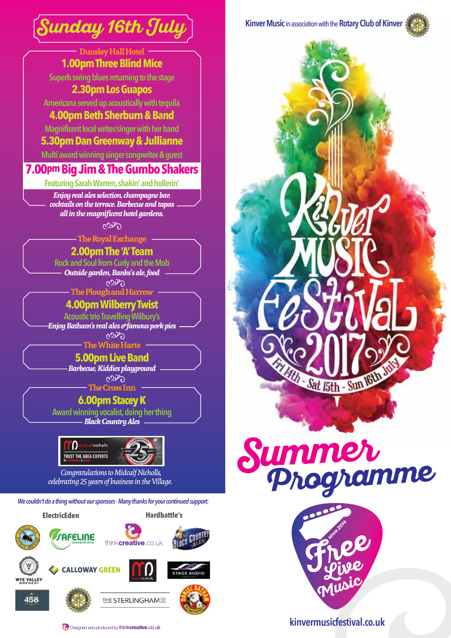

| <b>Dunsley Hall Hotel</b><br><b>1.00pm Three Blind Mice</b>                                           |  |
|-------------------------------------------------------------------------------------------------------|--|
| Superb swing blues returning to the stage                                                             |  |
| <b>2.30pm Los Guapos</b>                                                                              |  |
| Americana served up acoustically with tequila                                                         |  |
| 4.00pm Beth Sherburn & Band                                                                           |  |
| Magnificent local writer/singer with her band                                                         |  |
| 5.30pm Dan Greenway & Jullianne                                                                       |  |
| Multi award winning singer songwriter & guest                                                         |  |
| <b>7.00pm Big Jim &amp; The Gumbo Shakers</b>                                                         |  |
|                                                                                                       |  |
| Featuring Sarah Warren, shakin' and hollerin'<br>Enjoy real ales selection, champagne bar,            |  |
| cocktails on the terrace. Barbecue and tapas                                                          |  |
| all in the magnificent hotel gardens.                                                                 |  |
| وكمون                                                                                                 |  |
| <b>The Royal Exchange</b>                                                                             |  |
| 2.00pm The 'A' Team                                                                                   |  |
| <b>Rock and Soul from Curly and the Mob</b><br>Outside garden, Banks's ale, food                      |  |
| وكموح                                                                                                 |  |
| <b>The Plough and Harrow</b>                                                                          |  |
| <b>4.00pm Wilberry Twist</b>                                                                          |  |
| <b>Acoustic trio Travelling Wilbury's</b><br>Enjoy Batham's real ales e <sup>y</sup> famous pork pies |  |
| وبردوه                                                                                                |  |
| The White Harte                                                                                       |  |
| <b>5.00pm Live Band</b>                                                                               |  |
| Barbecue, Kiddies playground<br>وكموح                                                                 |  |
| <b>The Cross Inn</b>                                                                                  |  |
| 6.00pm Stacey K                                                                                       |  |
| Award winning vocalist, doing her thing                                                               |  |

*Black Country Ales*



*Congratulations to Midcalf Nicholls, celebrating 25 years of business in the Village.* 

*We couldn't do a thing without our sponsors - Many thanks for your continued support:*





458



C. Designed and produced by think creative.co.uk









**kinvermusicfestival.co.uk**